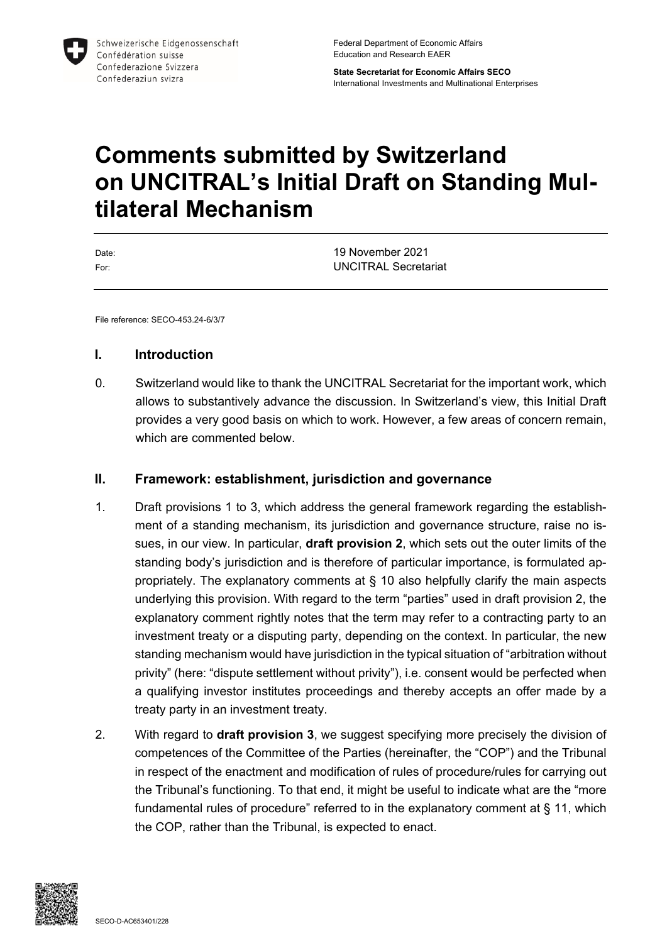

Federal Department of Economic Affairs Education and Research EAER

**State Secretariat for Economic Affairs SECO** International Investments and Multinational Enterprises

# **Comments submitted by Switzerland on UNCITRAL's Initial Draft on Standing Multilateral Mechanism**

| Date: | 19 November 2021            |
|-------|-----------------------------|
| For:  | <b>UNCITRAL Secretariat</b> |

File reference: SECO-453.24-6/3/7

#### **I. Introduction**

0. Switzerland would like to thank the UNCITRAL Secretariat for the important work, which allows to substantively advance the discussion. In Switzerland's view, this Initial Draft provides a very good basis on which to work. However, a few areas of concern remain, which are commented below.

#### **II. Framework: establishment, jurisdiction and governance**

- 1. Draft provisions 1 to 3, which address the general framework regarding the establishment of a standing mechanism, its jurisdiction and governance structure, raise no issues, in our view. In particular, **draft provision 2**, which sets out the outer limits of the standing body's jurisdiction and is therefore of particular importance, is formulated appropriately. The explanatory comments at § 10 also helpfully clarify the main aspects underlying this provision. With regard to the term "parties" used in draft provision 2, the explanatory comment rightly notes that the term may refer to a contracting party to an investment treaty or a disputing party, depending on the context. In particular, the new standing mechanism would have jurisdiction in the typical situation of "arbitration without privity" (here: "dispute settlement without privity"), i.e. consent would be perfected when a qualifying investor institutes proceedings and thereby accepts an offer made by a treaty party in an investment treaty.
- 2. With regard to **draft provision 3**, we suggest specifying more precisely the division of competences of the Committee of the Parties (hereinafter, the "COP") and the Tribunal in respect of the enactment and modification of rules of procedure/rules for carrying out the Tribunal's functioning. To that end, it might be useful to indicate what are the "more fundamental rules of procedure" referred to in the explanatory comment at § 11, which the COP, rather than the Tribunal, is expected to enact.

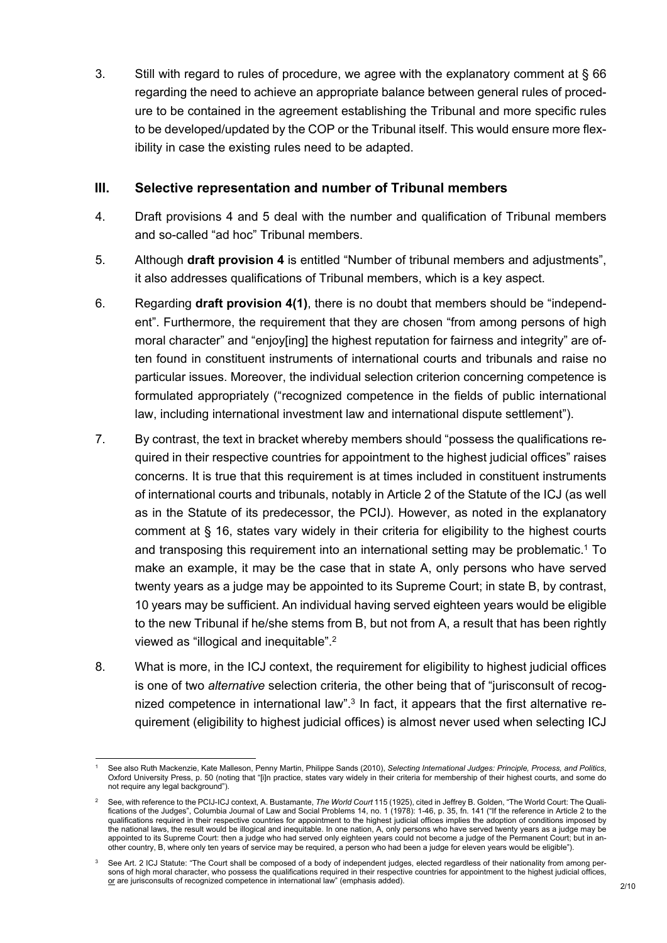3. Still with regard to rules of procedure, we agree with the explanatory comment at § 66 regarding the need to achieve an appropriate balance between general rules of procedure to be contained in the agreement establishing the Tribunal and more specific rules to be developed/updated by the COP or the Tribunal itself. This would ensure more flexibility in case the existing rules need to be adapted.

## **III. Selective representation and number of Tribunal members**

- 4. Draft provisions 4 and 5 deal with the number and qualification of Tribunal members and so-called "ad hoc" Tribunal members.
- 5. Although **draft provision 4** is entitled "Number of tribunal members and adjustments", it also addresses qualifications of Tribunal members, which is a key aspect.
- 6. Regarding **draft provision 4(1)**, there is no doubt that members should be "independent". Furthermore, the requirement that they are chosen "from among persons of high moral character" and "enjoy[ing] the highest reputation for fairness and integrity" are often found in constituent instruments of international courts and tribunals and raise no particular issues. Moreover, the individual selection criterion concerning competence is formulated appropriately ("recognized competence in the fields of public international law, including international investment law and international dispute settlement").
- 7. By contrast, the text in bracket whereby members should "possess the qualifications required in their respective countries for appointment to the highest judicial offices" raises concerns. It is true that this requirement is at times included in constituent instruments of international courts and tribunals, notably in Article 2 of the Statute of the ICJ (as well as in the Statute of its predecessor, the PCIJ). However, as noted in the explanatory comment at § 16, states vary widely in their criteria for eligibility to the highest courts and transposing this requirement into an international setting may be problematic.<sup>1</sup> To make an example, it may be the case that in state A, only persons who have served twenty years as a judge may be appointed to its Supreme Court; in state B, by contrast, 10 years may be sufficient. An individual having served eighteen years would be eligible to the new Tribunal if he/she stems from B, but not from A, a result that has been rightly viewed as "illogical and inequitable".<sup>2</sup>
- 8. What is more, in the ICJ context, the requirement for eligibility to highest judicial offices is one of two *alternative* selection criteria, the other being that of "jurisconsult of recognized competence in international law".<sup>3</sup> In fact, it appears that the first alternative requirement (eligibility to highest judicial offices) is almost never used when selecting ICJ

<sup>1</sup> See also Ruth Mackenzie, Kate Malleson, Penny Martin, Philippe Sands (2010), *Selecting International Judges: Principle, Process, and Politics*, Oxford University Press, p. 50 (noting that "[i]n practice, states vary widely in their criteria for membership of their highest courts, and some do not require any legal background").

<sup>2</sup> See, with reference to the PCIJ-ICJ context, A. Bustamante, *The World Court* 115 (1925), cited in Jeffrey B. Golden, "The World Court: The Qualifications of the Judges", Columbia Journal of Law and Social Problems 14, no. 1 (1978): 1-46, p. 35, fn. 141 ("If the reference in Article 2 to the qualifications required in their respective countries for appointment to the highest judicial offices implies the adoption of conditions imposed by the national laws, the result would be illogical and inequitable. In one nation, A, only persons who have served twenty years as a judge may be appointed to its Supreme Court: then a judge who had served only eighteen years could not become a judge of the Permanent Court; but in another country, B, where only ten years of service may be required, a person who had been a judge for eleven years would be eligible").

<sup>3</sup> See Art. 2 ICJ Statute: "The Court shall be composed of a body of independent judges, elected regardless of their nationality from among persons of high moral character, who possess the qualifications required in their respective countries for appointment to the highest judicial offices, or are jurisconsults of recognized competence in international law" (emphasis added).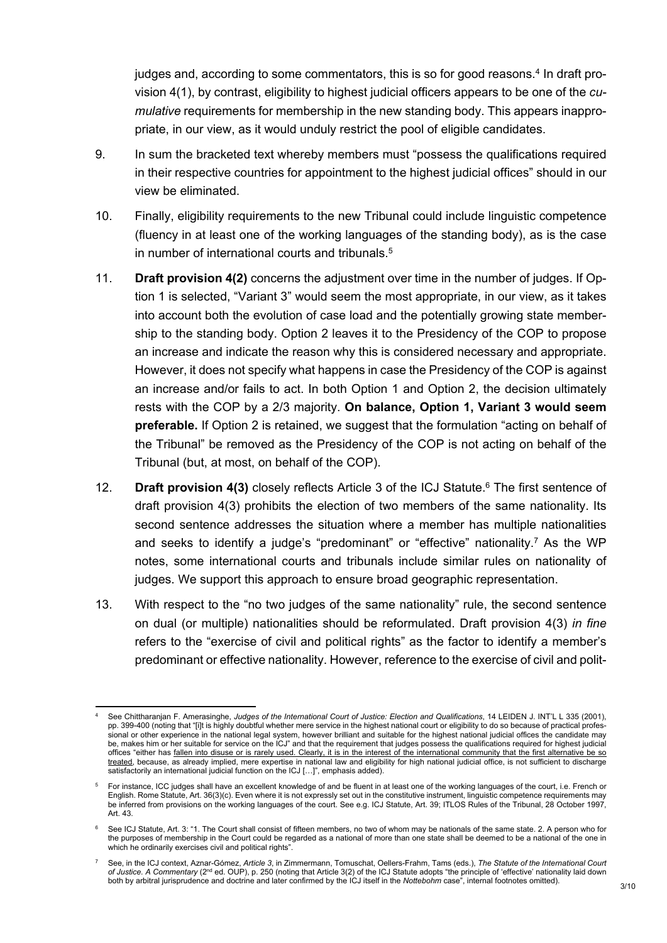judges and, according to some commentators, this is so for good reasons.<sup>4</sup> In draft provision 4(1), by contrast, eligibility to highest judicial officers appears to be one of the *cumulative* requirements for membership in the new standing body. This appears inappropriate, in our view, as it would unduly restrict the pool of eligible candidates.

- 9. In sum the bracketed text whereby members must "possess the qualifications required in their respective countries for appointment to the highest judicial offices" should in our view be eliminated.
- 10. Finally, eligibility requirements to the new Tribunal could include linguistic competence (fluency in at least one of the working languages of the standing body), as is the case in number of international courts and tribunals.<sup>5</sup>
- 11. **Draft provision 4(2)** concerns the adjustment over time in the number of judges. If Option 1 is selected, "Variant 3" would seem the most appropriate, in our view, as it takes into account both the evolution of case load and the potentially growing state membership to the standing body. Option 2 leaves it to the Presidency of the COP to propose an increase and indicate the reason why this is considered necessary and appropriate. However, it does not specify what happens in case the Presidency of the COP is against an increase and/or fails to act. In both Option 1 and Option 2, the decision ultimately rests with the COP by a 2/3 majority. **On balance, Option 1, Variant 3 would seem preferable.** If Option 2 is retained, we suggest that the formulation "acting on behalf of the Tribunal" be removed as the Presidency of the COP is not acting on behalf of the Tribunal (but, at most, on behalf of the COP).
- 12. **Draft provision 4(3)** closely reflects Article 3 of the ICJ Statute.<sup>6</sup> The first sentence of draft provision 4(3) prohibits the election of two members of the same nationality. Its second sentence addresses the situation where a member has multiple nationalities and seeks to identify a judge's "predominant" or "effective" nationality.<sup>7</sup> As the WP notes, some international courts and tribunals include similar rules on nationality of judges. We support this approach to ensure broad geographic representation.
- 13. With respect to the "no two judges of the same nationality" rule, the second sentence on dual (or multiple) nationalities should be reformulated. Draft provision 4(3) *in fine* refers to the "exercise of civil and political rights" as the factor to identify a member's predominant or effective nationality. However, reference to the exercise of civil and polit-

<sup>4</sup> See Chittharanjan F. Amerasinghe, Judges of the International Court of Justice: Election and Qualifications, 14 LEIDEN J. INT'L L 335 (2001), pp. 399-400 (noting that "[i]t is highly doubtful whether mere service in the highest national court or eligibility to do so because of practical professional or other experience in the national legal system, however brilliant and suitable for the highest national judicial offices the candidate may be, makes him or her suitable for service on the ICJ" and that the requirement that judges possess the qualifications required for highest judicial offices "either has fallen into disuse or is rarely used. Clearly, it is in the interest of the international community that the first alternative be so treated, because, as already implied, mere expertise in national law and eligibility for high national judicial office, is not sufficient to discharge satisfactorily an international judicial function on the ICJ [...]", emphasis added).

<sup>5</sup> For instance, ICC judges shall have an excellent knowledge of and be fluent in at least one of the working languages of the court, i.e. French or English. Rome Statute, Art. 36(3)(c). Even where it is not expressly set out in the constitutive instrument, linguistic competence requirements may be inferred from provisions on the working languages of the court. See e.g. ICJ Statute, Art. 39; ITLOS Rules of the Tribunal, 28 October 1997, Art. 43.

<sup>6</sup> See ICJ Statute, Art. 3: "1. The Court shall consist of fifteen members, no two of whom may be nationals of the same state. 2. A person who for the purposes of membership in the Court could be regarded as a national of more than one state shall be deemed to be a national of the one in which he ordinarily exercises civil and political rights".

<sup>7</sup> See, in the ICJ context, Aznar-Gómez, *Article 3*, in Zimmermann, Tomuschat, Oellers-Frahm, Tams (eds.), *The Statute of the International Court*  of Justice. A Commentary (2<sup>nd</sup> ed. OUP), p. 250 (noting that Article 3(2) of the ICJ Statute adopts "the principle of 'effective' nationality laid down both by arbitral jurisprudence and doctrine and later confirmed by the ICJ itself in the *Nottebohm* case", internal footnotes omitted).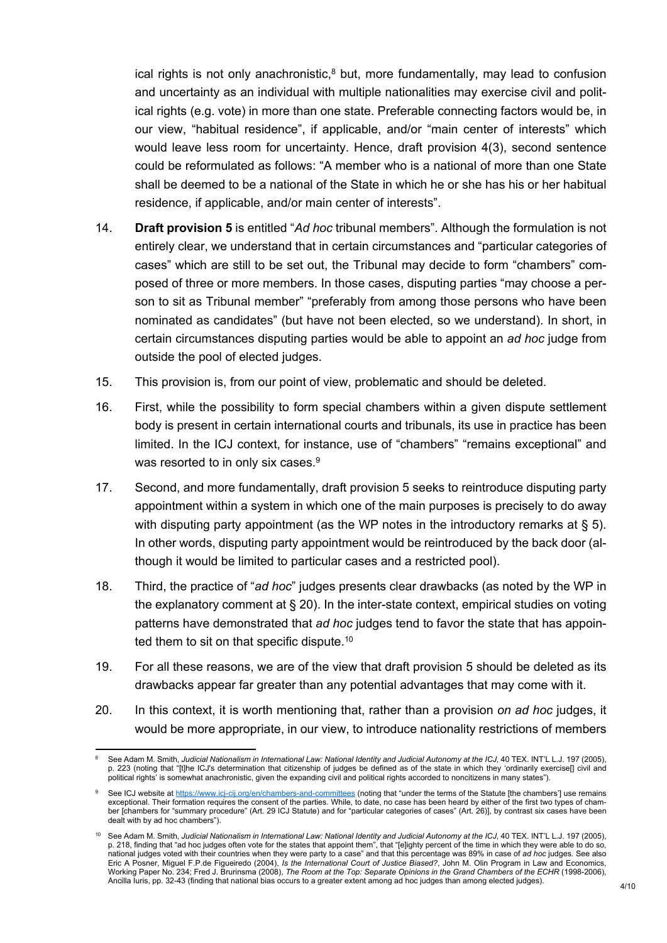ical rights is not only anachronistic,<sup>8</sup> but, more fundamentally, may lead to confusion and uncertainty as an individual with multiple nationalities may exercise civil and political rights (e.g. vote) in more than one state. Preferable connecting factors would be, in our view, "habitual residence", if applicable, and/or "main center of interests" which would leave less room for uncertainty. Hence, draft provision 4(3), second sentence could be reformulated as follows: "A member who is a national of more than one State shall be deemed to be a national of the State in which he or she has his or her habitual residence, if applicable, and/or main center of interests".

- 14. **Draft provision 5** is entitled "*Ad hoc* tribunal members". Although the formulation is not entirely clear, we understand that in certain circumstances and "particular categories of cases" which are still to be set out, the Tribunal may decide to form "chambers" composed of three or more members. In those cases, disputing parties "may choose a person to sit as Tribunal member" "preferably from among those persons who have been nominated as candidates" (but have not been elected, so we understand). In short, in certain circumstances disputing parties would be able to appoint an *ad hoc* judge from outside the pool of elected judges.
- 15. This provision is, from our point of view, problematic and should be deleted.
- 16. First, while the possibility to form special chambers within a given dispute settlement body is present in certain international courts and tribunals, its use in practice has been limited. In the ICJ context, for instance, use of "chambers" "remains exceptional" and was resorted to in only six cases.<sup>9</sup>
- 17. Second, and more fundamentally, draft provision 5 seeks to reintroduce disputing party appointment within a system in which one of the main purposes is precisely to do away with disputing party appointment (as the WP notes in the introductory remarks at  $\S$  5). In other words, disputing party appointment would be reintroduced by the back door (although it would be limited to particular cases and a restricted pool).
- 18. Third, the practice of "*ad hoc*" judges presents clear drawbacks (as noted by the WP in the explanatory comment at § 20). In the inter-state context, empirical studies on voting patterns have demonstrated that *ad hoc* judges tend to favor the state that has appointed them to sit on that specific dispute.<sup>10</sup>
- 19. For all these reasons, we are of the view that draft provision 5 should be deleted as its drawbacks appear far greater than any potential advantages that may come with it.
- 20. In this context, it is worth mentioning that, rather than a provision *on ad hoc* judges, it would be more appropriate, in our view, to introduce nationality restrictions of members

<sup>8</sup> See Adam M. Smith, *Judicial Nationalism in International Law: National Identity and Judicial Autonomy at the ICJ*, 40 TEX. INT'L L.J. 197 (2005), p. 223 (noting that "[t]he ICJ's determination that citizenship of judges be defined as of the state in which they 'ordinarily exercise[] civil and political rights' is somewhat anachronistic, given the expanding civil and political rights accorded to noncitizens in many states").

<sup>9</sup> See ICJ website at <https://www.icj-cij.org/en/chambers-and-committees> (noting that "under the terms of the Statute [the chambers'] use remains exceptional. Their formation requires the consent of the parties. While, to date, no case has been heard by either of the first two types of chamber [chambers for "summary procedure" (Art. 29 ICJ Statute) and for "particular categories of cases" (Art. 26)], by contrast six cases have been dealt with by ad hoc chambers").

<sup>10</sup> See Adam M. Smith, *Judicial Nationalism in International Law: National Identity and Judicial Autonomy at the ICJ*, 40 TEX. INT'L L.J. 197 (2005), p. 218, finding that "ad hoc judges often vote for the states that appoint them", that "[e]ighty percent of the time in which they were able to do so, national judges voted with their countries when they were party to a case" and that this percentage was 89% in case of *ad hoc* judges. See also Eric A Posner, Miguel F.P.de Figueiredo (2004), *Is the International Court of Justice Biased?*, John M. Olin Program in Law and Economics, Working Paper No. 234; Fred J. Brurinsma (2008), *The Room at the Top: Separate Opinions in the Grand Chambers of the ECHR* (1998-2006), Ancilla Iuris, pp. 32-43 (finding that national bias occurs to a greater extent among ad hoc judges than among elected judges).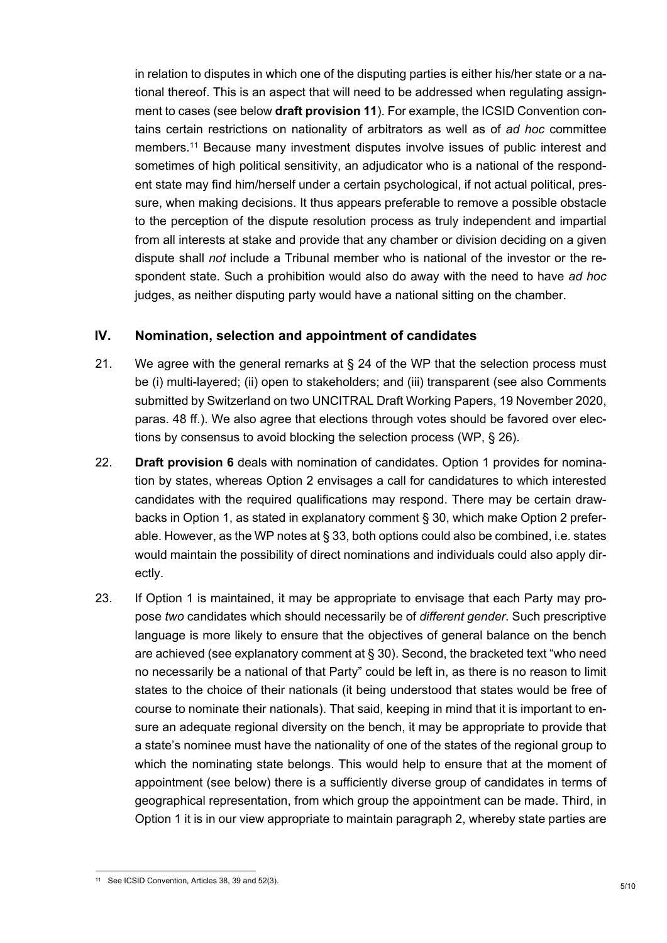in relation to disputes in which one of the disputing parties is either his/her state or a national thereof. This is an aspect that will need to be addressed when regulating assignment to cases (see below **draft provision 11**). For example, the ICSID Convention contains certain restrictions on nationality of arbitrators as well as of *ad hoc* committee members.<sup>11</sup> Because many investment disputes involve issues of public interest and sometimes of high political sensitivity, an adjudicator who is a national of the respondent state may find him/herself under a certain psychological, if not actual political, pressure, when making decisions. It thus appears preferable to remove a possible obstacle to the perception of the dispute resolution process as truly independent and impartial from all interests at stake and provide that any chamber or division deciding on a given dispute shall *not* include a Tribunal member who is national of the investor or the respondent state. Such a prohibition would also do away with the need to have *ad hoc*  judges, as neither disputing party would have a national sitting on the chamber.

# **IV. Nomination, selection and appointment of candidates**

- 21. We agree with the general remarks at § 24 of the WP that the selection process must be (i) multi-layered; (ii) open to stakeholders; and (iii) transparent (see also Comments submitted by Switzerland on two UNCITRAL Draft Working Papers, 19 November 2020, paras. 48 ff.). We also agree that elections through votes should be favored over elections by consensus to avoid blocking the selection process (WP, § 26).
- 22. **Draft provision 6** deals with nomination of candidates. Option 1 provides for nomination by states, whereas Option 2 envisages a call for candidatures to which interested candidates with the required qualifications may respond. There may be certain drawbacks in Option 1, as stated in explanatory comment § 30, which make Option 2 preferable. However, as the WP notes at § 33, both options could also be combined, i.e. states would maintain the possibility of direct nominations and individuals could also apply directly.
- 23. If Option 1 is maintained, it may be appropriate to envisage that each Party may propose *two* candidates which should necessarily be of *different gender*. Such prescriptive language is more likely to ensure that the objectives of general balance on the bench are achieved (see explanatory comment at § 30). Second, the bracketed text "who need no necessarily be a national of that Party" could be left in, as there is no reason to limit states to the choice of their nationals (it being understood that states would be free of course to nominate their nationals). That said, keeping in mind that it is important to ensure an adequate regional diversity on the bench, it may be appropriate to provide that a state's nominee must have the nationality of one of the states of the regional group to which the nominating state belongs. This would help to ensure that at the moment of appointment (see below) there is a sufficiently diverse group of candidates in terms of geographical representation, from which group the appointment can be made. Third, in Option 1 it is in our view appropriate to maintain paragraph 2, whereby state parties are

<sup>11</sup> See ICSID Convention, Articles 38, 39 and 52(3).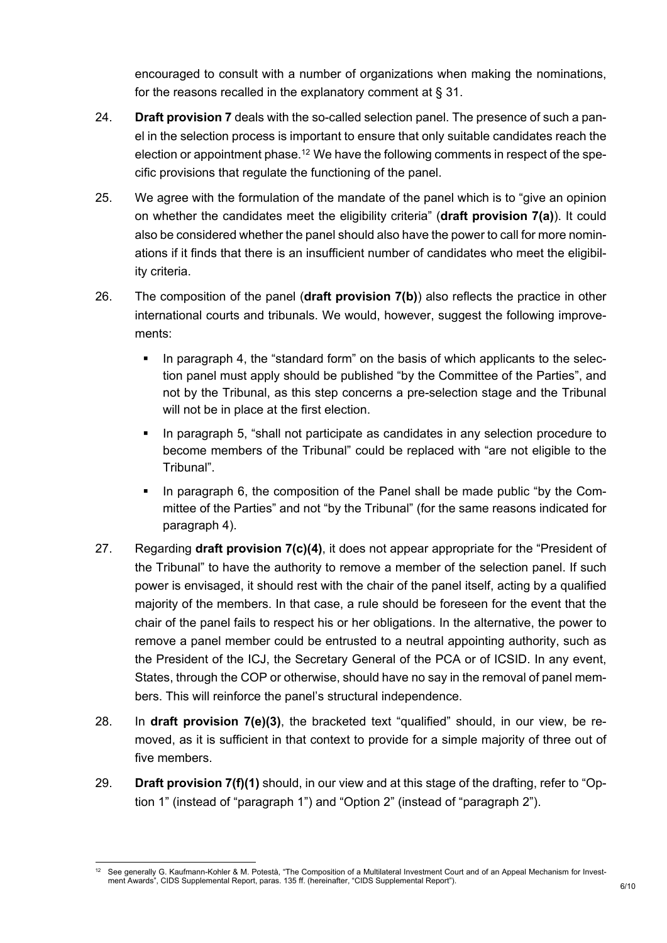encouraged to consult with a number of organizations when making the nominations, for the reasons recalled in the explanatory comment at § 31.

- 24. **Draft provision 7** deals with the so-called selection panel. The presence of such a panel in the selection process is important to ensure that only suitable candidates reach the election or appointment phase.<sup>12</sup> We have the following comments in respect of the specific provisions that regulate the functioning of the panel.
- 25. We agree with the formulation of the mandate of the panel which is to "give an opinion on whether the candidates meet the eligibility criteria" (**draft provision 7(a)**). It could also be considered whether the panel should also have the power to call for more nominations if it finds that there is an insufficient number of candidates who meet the eligibility criteria.
- 26. The composition of the panel (**draft provision 7(b)**) also reflects the practice in other international courts and tribunals. We would, however, suggest the following improvements:
	- In paragraph 4, the "standard form" on the basis of which applicants to the selection panel must apply should be published "by the Committee of the Parties", and not by the Tribunal, as this step concerns a pre-selection stage and the Tribunal will not be in place at the first election.
	- In paragraph 5, "shall not participate as candidates in any selection procedure to become members of the Tribunal" could be replaced with "are not eligible to the Tribunal".
	- In paragraph 6, the composition of the Panel shall be made public "by the Committee of the Parties" and not "by the Tribunal" (for the same reasons indicated for paragraph 4).
- 27. Regarding **draft provision 7(c)(4)**, it does not appear appropriate for the "President of the Tribunal" to have the authority to remove a member of the selection panel. If such power is envisaged, it should rest with the chair of the panel itself, acting by a qualified majority of the members. In that case, a rule should be foreseen for the event that the chair of the panel fails to respect his or her obligations. In the alternative, the power to remove a panel member could be entrusted to a neutral appointing authority, such as the President of the ICJ, the Secretary General of the PCA or of ICSID. In any event, States, through the COP or otherwise, should have no say in the removal of panel members. This will reinforce the panel's structural independence.
- 28. In **draft provision 7(e)(3)**, the bracketed text "qualified" should, in our view, be removed, as it is sufficient in that context to provide for a simple majority of three out of five members.
- 29. **Draft provision 7(f)(1)** should, in our view and at this stage of the drafting, refer to "Option 1" (instead of "paragraph 1") and "Option 2" (instead of "paragraph 2").

<sup>&</sup>lt;sup>12</sup> See generally G. Kaufmann-Kohler & M. Potestà, "The Composition of a Multilateral Investment Court and of an Appeal Mechanism for Investment Awards", CIDS Supplemental Report, paras. 135 ff. (hereinafter, "CIDS Supplemental Report").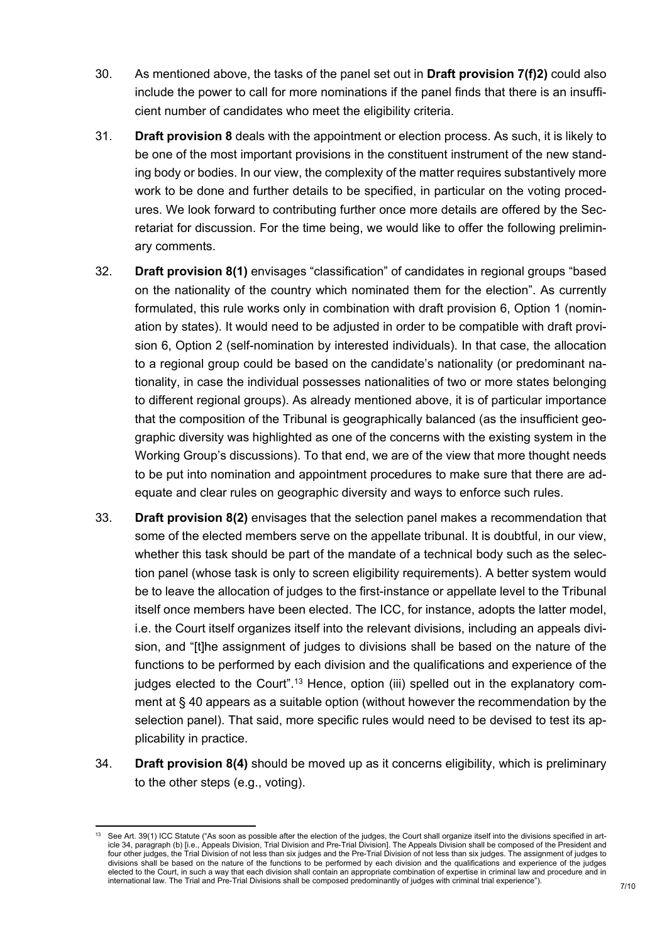- 30. As mentioned above, the tasks of the panel set out in **Draft provision 7(f)2)** could also include the power to call for more nominations if the panel finds that there is an insufficient number of candidates who meet the eligibility criteria.
- 31. **Draft provision 8** deals with the appointment or election process. As such, it is likely to be one of the most important provisions in the constituent instrument of the new standing body or bodies. In our view, the complexity of the matter requires substantively more work to be done and further details to be specified, in particular on the voting procedures. We look forward to contributing further once more details are offered by the Secretariat for discussion. For the time being, we would like to offer the following preliminary comments.
- 32. **Draft provision 8(1)** envisages "classification" of candidates in regional groups "based on the nationality of the country which nominated them for the election". As currently formulated, this rule works only in combination with draft provision 6, Option 1 (nomination by states). It would need to be adjusted in order to be compatible with draft provision 6, Option 2 (self-nomination by interested individuals). In that case, the allocation to a regional group could be based on the candidate's nationality (or predominant nationality, in case the individual possesses nationalities of two or more states belonging to different regional groups). As already mentioned above, it is of particular importance that the composition of the Tribunal is geographically balanced (as the insufficient geographic diversity was highlighted as one of the concerns with the existing system in the Working Group's discussions). To that end, we are of the view that more thought needs to be put into nomination and appointment procedures to make sure that there are adequate and clear rules on geographic diversity and ways to enforce such rules.
- 33. **Draft provision 8(2)** envisages that the selection panel makes a recommendation that some of the elected members serve on the appellate tribunal. It is doubtful, in our view, whether this task should be part of the mandate of a technical body such as the selection panel (whose task is only to screen eligibility requirements). A better system would be to leave the allocation of judges to the first-instance or appellate level to the Tribunal itself once members have been elected. The ICC, for instance, adopts the latter model, i.e. the Court itself organizes itself into the relevant divisions, including an appeals division, and "[t]he assignment of judges to divisions shall be based on the nature of the functions to be performed by each division and the qualifications and experience of the judges elected to the Court".<sup>13</sup> Hence, option (iii) spelled out in the explanatory comment at § 40 appears as a suitable option (without however the recommendation by the selection panel). That said, more specific rules would need to be devised to test its applicability in practice.
- 34. **Draft provision 8(4)** should be moved up as it concerns eligibility, which is preliminary to the other steps (e.g., voting).

See Art. 39(1) ICC Statute ("As soon as possible after the election of the judges, the Court shall organize itself into the divisions specified in article 34, paragraph (b) [i.e., Appeals Division, Trial Division and Pre-Trial Division]. The Appeals Division shall be composed of the President and four other judges, the Trial Division of not less than six judges and the Pre-Trial Division of not less than six judges. The assignment of judges to divisions shall be based on the nature of the functions to be performed by each division and the qualifications and experience of the judges elected to the Court, in such a way that each division shall contain an appropriate combination of expertise in criminal law and procedure and in international law. The Trial and Pre-Trial Divisions shall be composed predominantly of judges with criminal trial experience").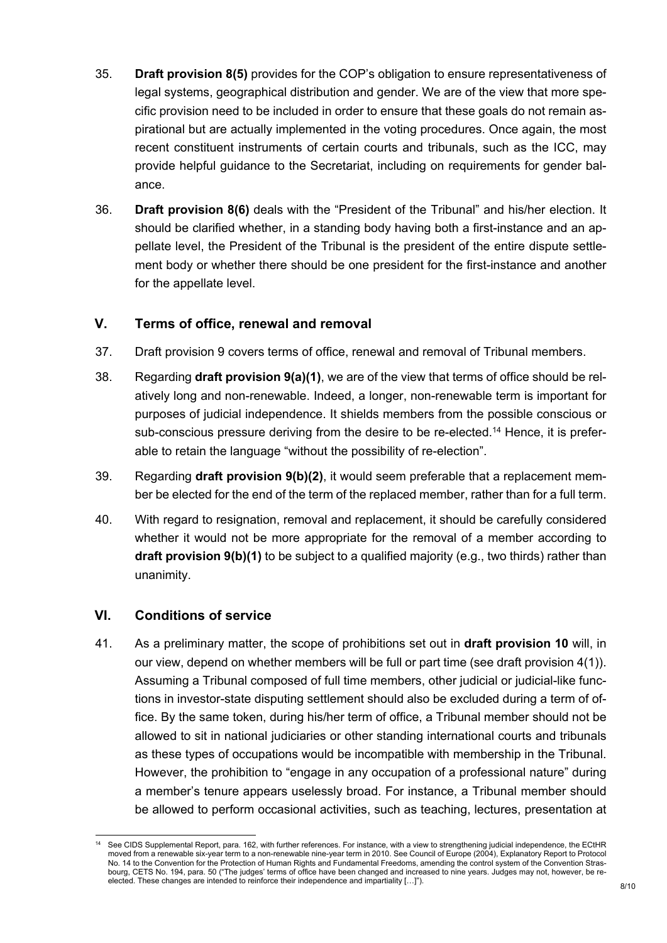- 35. **Draft provision 8(5)** provides for the COP's obligation to ensure representativeness of legal systems, geographical distribution and gender. We are of the view that more specific provision need to be included in order to ensure that these goals do not remain aspirational but are actually implemented in the voting procedures. Once again, the most recent constituent instruments of certain courts and tribunals, such as the ICC, may provide helpful guidance to the Secretariat, including on requirements for gender balance.
- 36. **Draft provision 8(6)** deals with the "President of the Tribunal" and his/her election. It should be clarified whether, in a standing body having both a first-instance and an appellate level, the President of the Tribunal is the president of the entire dispute settlement body or whether there should be one president for the first-instance and another for the appellate level.

# **V. Terms of office, renewal and removal**

- 37. Draft provision 9 covers terms of office, renewal and removal of Tribunal members.
- 38. Regarding **draft provision 9(a)(1)**, we are of the view that terms of office should be relatively long and non-renewable. Indeed, a longer, non-renewable term is important for purposes of judicial independence. It shields members from the possible conscious or sub-conscious pressure deriving from the desire to be re-elected.<sup>14</sup> Hence, it is preferable to retain the language "without the possibility of re-election".
- 39. Regarding **draft provision 9(b)(2)**, it would seem preferable that a replacement member be elected for the end of the term of the replaced member, rather than for a full term.
- 40. With regard to resignation, removal and replacement, it should be carefully considered whether it would not be more appropriate for the removal of a member according to **draft provision 9(b)(1)** to be subject to a qualified majority (e.g., two thirds) rather than unanimity.

## **VI. Conditions of service**

41. As a preliminary matter, the scope of prohibitions set out in **draft provision 10** will, in our view, depend on whether members will be full or part time (see draft provision 4(1)). Assuming a Tribunal composed of full time members, other judicial or judicial-like functions in investor-state disputing settlement should also be excluded during a term of office. By the same token, during his/her term of office, a Tribunal member should not be allowed to sit in national judiciaries or other standing international courts and tribunals as these types of occupations would be incompatible with membership in the Tribunal. However, the prohibition to "engage in any occupation of a professional nature" during a member's tenure appears uselessly broad. For instance, a Tribunal member should be allowed to perform occasional activities, such as teaching, lectures, presentation at

See CIDS Supplemental Report, para. 162, with further references. For instance, with a view to strengthening judicial independence, the ECtHR moved from a renewable six-year term to a non-renewable nine-year term in 2010. See Council of Europe (2004), Explanatory Report to Protocol No. 14 to the Convention for the Protection of Human Rights and Fundamental Freedoms, amending the control system of the Convention Strasbourg, CETS No. 194, para. 50 ("The judges' terms of office have been changed and increased to nine years. Judges may not, however, be reelected. These changes are intended to reinforce their independence and impartiality […]").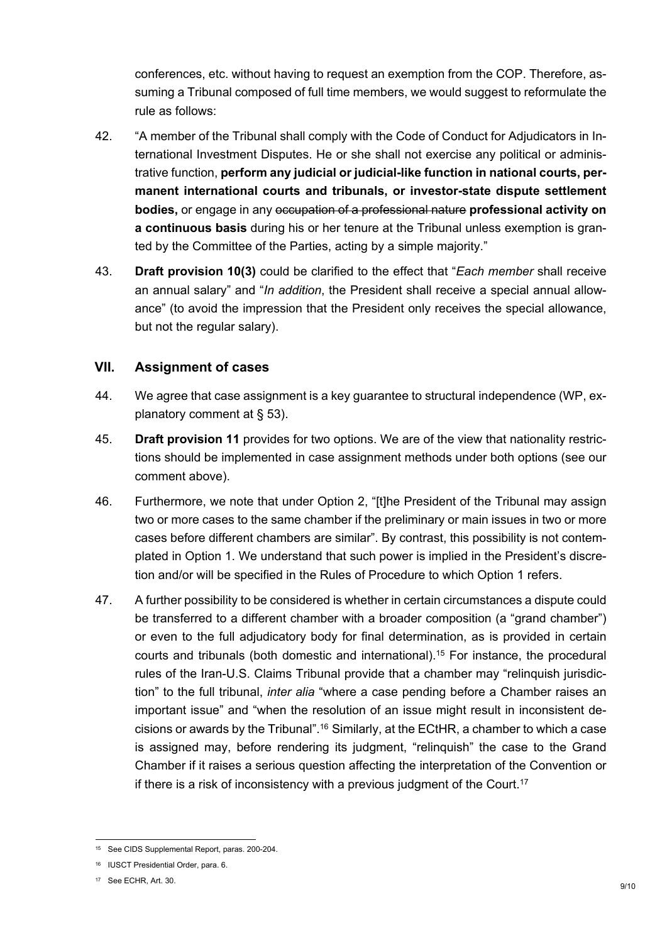conferences, etc. without having to request an exemption from the COP. Therefore, assuming a Tribunal composed of full time members, we would suggest to reformulate the rule as follows:

- 42. "A member of the Tribunal shall comply with the Code of Conduct for Adjudicators in International Investment Disputes. He or she shall not exercise any political or administrative function, **perform any judicial or judicial-like function in national courts, permanent international courts and tribunals, or investor-state dispute settlement bodies,** or engage in any occupation of a professional nature **professional activity on a continuous basis** during his or her tenure at the Tribunal unless exemption is granted by the Committee of the Parties, acting by a simple majority."
- 43. **Draft provision 10(3)** could be clarified to the effect that "*Each member* shall receive an annual salary" and "*In addition*, the President shall receive a special annual allowance" (to avoid the impression that the President only receives the special allowance, but not the regular salary).

## **VII. Assignment of cases**

- 44. We agree that case assignment is a key guarantee to structural independence (WP, explanatory comment at § 53).
- 45. **Draft provision 11** provides for two options. We are of the view that nationality restrictions should be implemented in case assignment methods under both options (see our comment above).
- 46. Furthermore, we note that under Option 2, "[t]he President of the Tribunal may assign two or more cases to the same chamber if the preliminary or main issues in two or more cases before different chambers are similar". By contrast, this possibility is not contemplated in Option 1. We understand that such power is implied in the President's discretion and/or will be specified in the Rules of Procedure to which Option 1 refers.
- 47. A further possibility to be considered is whether in certain circumstances a dispute could be transferred to a different chamber with a broader composition (a "grand chamber") or even to the full adjudicatory body for final determination, as is provided in certain courts and tribunals (both domestic and international).<sup>15</sup> For instance, the procedural rules of the Iran-U.S. Claims Tribunal provide that a chamber may "relinquish jurisdiction" to the full tribunal, *inter alia* "where a case pending before a Chamber raises an important issue" and "when the resolution of an issue might result in inconsistent decisions or awards by the Tribunal".<sup>16</sup> Similarly, at the ECtHR, a chamber to which a case is assigned may, before rendering its judgment, "relinquish" the case to the Grand Chamber if it raises a serious question affecting the interpretation of the Convention or if there is a risk of inconsistency with a previous judgment of the Court.<sup>17</sup>

<sup>15</sup> See CIDS Supplemental Report, paras. 200-204.

<sup>16</sup> IUSCT Presidential Order, para. 6.

<sup>17</sup> See ECHR, Art. 30.